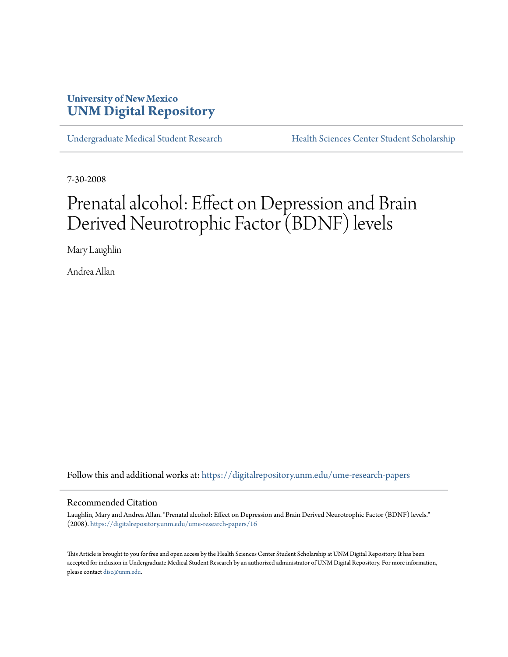### **University of New Mexico [UNM Digital Repository](https://digitalrepository.unm.edu?utm_source=digitalrepository.unm.edu%2Fume-research-papers%2F16&utm_medium=PDF&utm_campaign=PDFCoverPages)**

[Undergraduate Medical Student Research](https://digitalrepository.unm.edu/ume-research-papers?utm_source=digitalrepository.unm.edu%2Fume-research-papers%2F16&utm_medium=PDF&utm_campaign=PDFCoverPages) [Health Sciences Center Student Scholarship](https://digitalrepository.unm.edu/hsc-students?utm_source=digitalrepository.unm.edu%2Fume-research-papers%2F16&utm_medium=PDF&utm_campaign=PDFCoverPages)

7-30-2008

# Prenatal alcohol: Effect on Depression and Brain Derived Neurotrophic Factor (BDNF) levels

Mary Laughlin

Andrea Allan

Follow this and additional works at: [https://digitalrepository.unm.edu/ume-research-papers](https://digitalrepository.unm.edu/ume-research-papers?utm_source=digitalrepository.unm.edu%2Fume-research-papers%2F16&utm_medium=PDF&utm_campaign=PDFCoverPages)

#### Recommended Citation

Laughlin, Mary and Andrea Allan. "Prenatal alcohol: Effect on Depression and Brain Derived Neurotrophic Factor (BDNF) levels." (2008). [https://digitalrepository.unm.edu/ume-research-papers/16](https://digitalrepository.unm.edu/ume-research-papers/16?utm_source=digitalrepository.unm.edu%2Fume-research-papers%2F16&utm_medium=PDF&utm_campaign=PDFCoverPages)

This Article is brought to you for free and open access by the Health Sciences Center Student Scholarship at UNM Digital Repository. It has been accepted for inclusion in Undergraduate Medical Student Research by an authorized administrator of UNM Digital Repository. For more information, please contact [disc@unm.edu.](mailto:disc@unm.edu)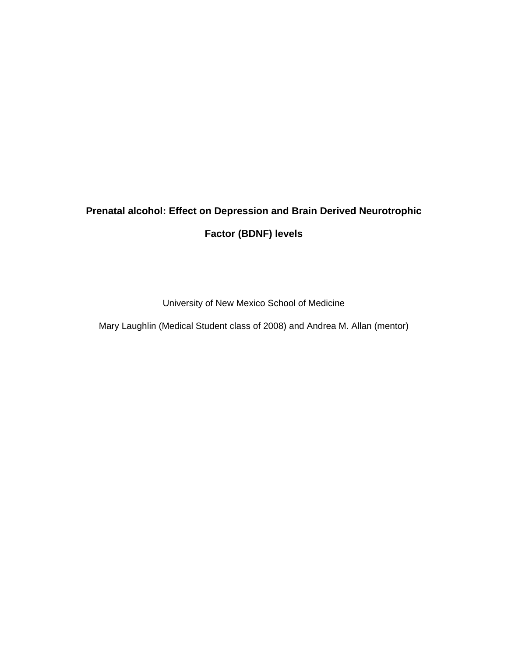## **Prenatal alcohol: Effect on Depression and Brain Derived Neurotrophic Factor (BDNF) levels**

University of New Mexico School of Medicine

Mary Laughlin (Medical Student class of 2008) and Andrea M. Allan (mentor)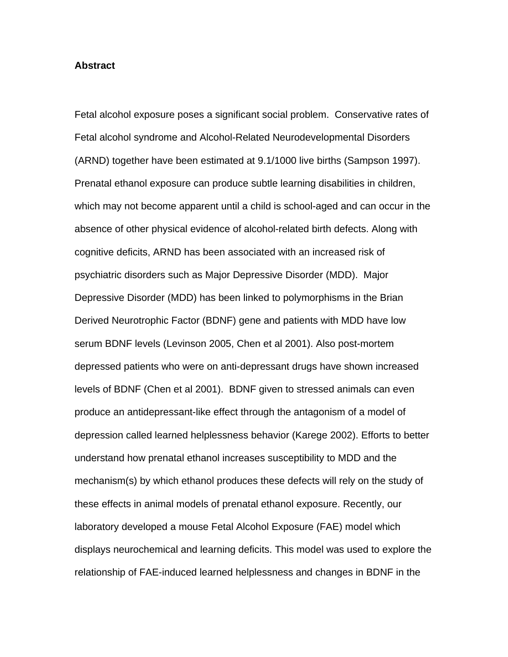#### **Abstract**

Fetal alcohol exposure poses a significant social problem. Conservative rates of Fetal alcohol syndrome and Alcohol-Related Neurodevelopmental Disorders (ARND) together have been estimated at 9.1/1000 live births (Sampson 1997). Prenatal ethanol exposure can produce subtle learning disabilities in children, which may not become apparent until a child is school-aged and can occur in the absence of other physical evidence of alcohol-related birth defects. Along with cognitive deficits, ARND has been associated with an increased risk of psychiatric disorders such as Major Depressive Disorder (MDD). Major Depressive Disorder (MDD) has been linked to polymorphisms in the Brian Derived Neurotrophic Factor (BDNF) gene and patients with MDD have low serum BDNF levels (Levinson 2005, Chen et al 2001). Also post-mortem depressed patients who were on anti-depressant drugs have shown increased levels of BDNF (Chen et al 2001). BDNF given to stressed animals can even produce an antidepressant-like effect through the antagonism of a model of depression called learned helplessness behavior (Karege 2002). Efforts to better understand how prenatal ethanol increases susceptibility to MDD and the mechanism(s) by which ethanol produces these defects will rely on the study of these effects in animal models of prenatal ethanol exposure. Recently, our laboratory developed a mouse Fetal Alcohol Exposure (FAE) model which displays neurochemical and learning deficits. This model was used to explore the relationship of FAE-induced learned helplessness and changes in BDNF in the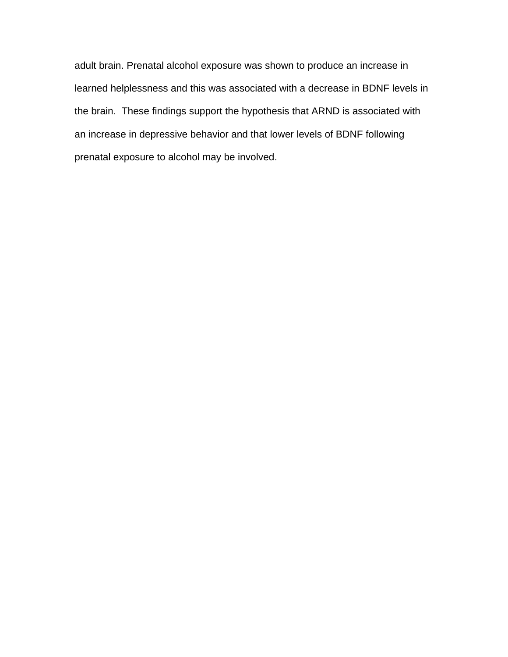adult brain. Prenatal alcohol exposure was shown to produce an increase in learned helplessness and this was associated with a decrease in BDNF levels in the brain. These findings support the hypothesis that ARND is associated with an increase in depressive behavior and that lower levels of BDNF following prenatal exposure to alcohol may be involved.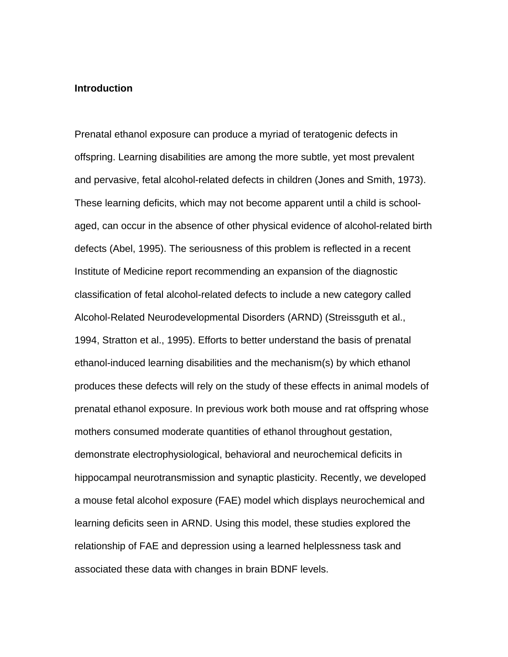#### **Introduction**

Prenatal ethanol exposure can produce a myriad of teratogenic defects in offspring. Learning disabilities are among the more subtle, yet most prevalent and pervasive, fetal alcohol-related defects in children (Jones and Smith, 1973). These learning deficits, which may not become apparent until a child is schoolaged, can occur in the absence of other physical evidence of alcohol-related birth defects (Abel, 1995). The seriousness of this problem is reflected in a recent Institute of Medicine report recommending an expansion of the diagnostic classification of fetal alcohol-related defects to include a new category called Alcohol-Related Neurodevelopmental Disorders (ARND) (Streissguth et al., 1994, Stratton et al., 1995). Efforts to better understand the basis of prenatal ethanol-induced learning disabilities and the mechanism(s) by which ethanol produces these defects will rely on the study of these effects in animal models of prenatal ethanol exposure. In previous work both mouse and rat offspring whose mothers consumed moderate quantities of ethanol throughout gestation, demonstrate electrophysiological, behavioral and neurochemical deficits in hippocampal neurotransmission and synaptic plasticity. Recently, we developed a mouse fetal alcohol exposure (FAE) model which displays neurochemical and learning deficits seen in ARND. Using this model, these studies explored the relationship of FAE and depression using a learned helplessness task and associated these data with changes in brain BDNF levels.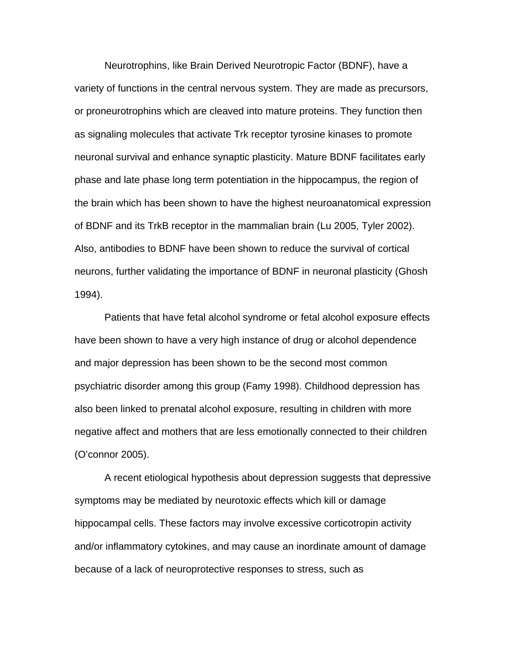Neurotrophins, like Brain Derived Neurotropic Factor (BDNF), have a variety of functions in the central nervous system. They are made as precursors, or proneurotrophins which are cleaved into mature proteins. They function then as signaling molecules that activate Trk receptor tyrosine kinases to promote neuronal survival and enhance synaptic plasticity. Mature BDNF facilitates early phase and late phase long term potentiation in the hippocampus, the region of the brain which has been shown to have the highest neuroanatomical expression of BDNF and its TrkB receptor in the mammalian brain (Lu 2005, Tyler 2002). Also, antibodies to BDNF have been shown to reduce the survival of cortical neurons, further validating the importance of BDNF in neuronal plasticity (Ghosh 1994).

Patients that have fetal alcohol syndrome or fetal alcohol exposure effects have been shown to have a very high instance of drug or alcohol dependence and major depression has been shown to be the second most common psychiatric disorder among this group (Famy 1998). Childhood depression has also been linked to prenatal alcohol exposure, resulting in children with more negative affect and mothers that are less emotionally connected to their children (O'connor 2005).

 A recent etiological hypothesis about depression suggests that depressive symptoms may be mediated by neurotoxic effects which kill or damage hippocampal cells. These factors may involve excessive corticotropin activity and/or inflammatory cytokines, and may cause an inordinate amount of damage because of a lack of neuroprotective responses to stress, such as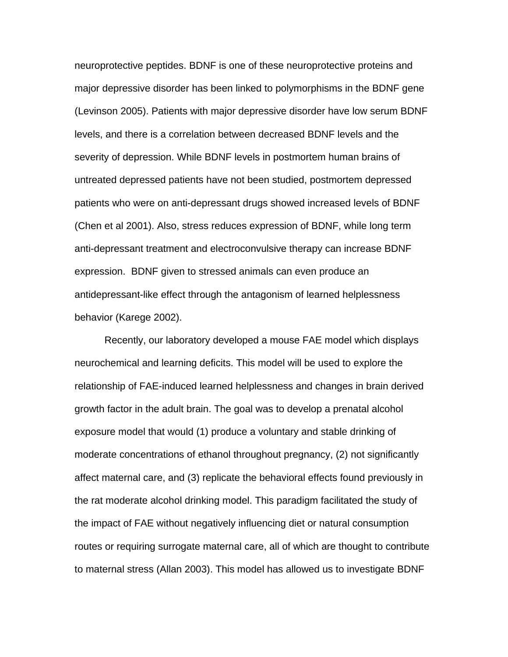neuroprotective peptides. BDNF is one of these neuroprotective proteins and major depressive disorder has been linked to polymorphisms in the BDNF gene (Levinson 2005). Patients with major depressive disorder have low serum BDNF levels, and there is a correlation between decreased BDNF levels and the severity of depression. While BDNF levels in postmortem human brains of untreated depressed patients have not been studied, postmortem depressed patients who were on anti-depressant drugs showed increased levels of BDNF (Chen et al 2001). Also, stress reduces expression of BDNF, while long term anti-depressant treatment and electroconvulsive therapy can increase BDNF expression. BDNF given to stressed animals can even produce an antidepressant-like effect through the antagonism of learned helplessness behavior (Karege 2002).

Recently, our laboratory developed a mouse FAE model which displays neurochemical and learning deficits. This model will be used to explore the relationship of FAE-induced learned helplessness and changes in brain derived growth factor in the adult brain. The goal was to develop a prenatal alcohol exposure model that would (1) produce a voluntary and stable drinking of moderate concentrations of ethanol throughout pregnancy, (2) not significantly affect maternal care, and (3) replicate the behavioral effects found previously in the rat moderate alcohol drinking model. This paradigm facilitated the study of the impact of FAE without negatively influencing diet or natural consumption routes or requiring surrogate maternal care, all of which are thought to contribute to maternal stress (Allan 2003). This model has allowed us to investigate BDNF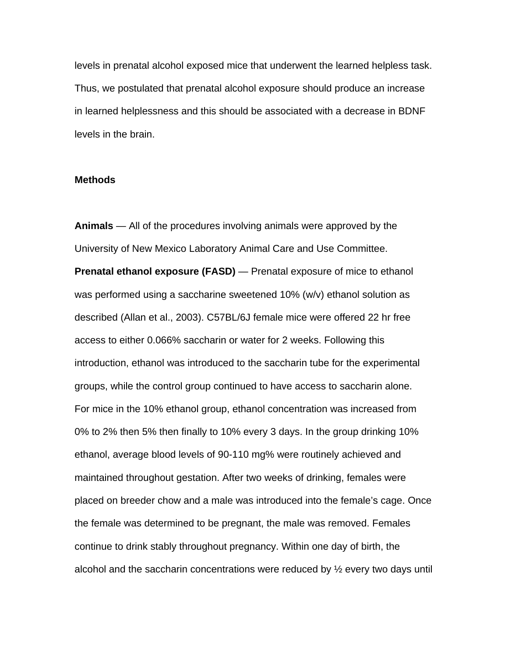levels in prenatal alcohol exposed mice that underwent the learned helpless task. Thus, we postulated that prenatal alcohol exposure should produce an increase in learned helplessness and this should be associated with a decrease in BDNF levels in the brain.

#### **Methods**

**Animals** — All of the procedures involving animals were approved by the University of New Mexico Laboratory Animal Care and Use Committee. **Prenatal ethanol exposure (FASD)** — Prenatal exposure of mice to ethanol was performed using a saccharine sweetened 10% (w/v) ethanol solution as described (Allan et al., 2003). C57BL/6J female mice were offered 22 hr free access to either 0.066% saccharin or water for 2 weeks. Following this introduction, ethanol was introduced to the saccharin tube for the experimental groups, while the control group continued to have access to saccharin alone. For mice in the 10% ethanol group, ethanol concentration was increased from 0% to 2% then 5% then finally to 10% every 3 days. In the group drinking 10% ethanol, average blood levels of 90-110 mg% were routinely achieved and maintained throughout gestation. After two weeks of drinking, females were placed on breeder chow and a male was introduced into the female's cage. Once the female was determined to be pregnant, the male was removed. Females continue to drink stably throughout pregnancy. Within one day of birth, the alcohol and the saccharin concentrations were reduced by  $\frac{1}{2}$  every two days until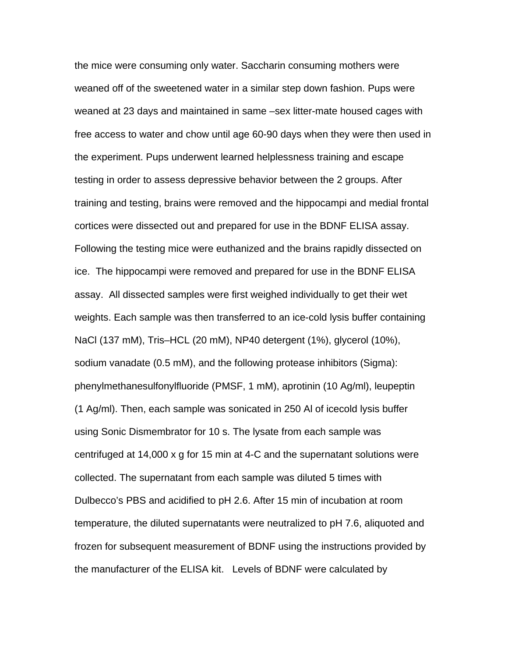the mice were consuming only water. Saccharin consuming mothers were weaned off of the sweetened water in a similar step down fashion. Pups were weaned at 23 days and maintained in same –sex litter-mate housed cages with free access to water and chow until age 60-90 days when they were then used in the experiment. Pups underwent learned helplessness training and escape testing in order to assess depressive behavior between the 2 groups. After training and testing, brains were removed and the hippocampi and medial frontal cortices were dissected out and prepared for use in the BDNF ELISA assay. Following the testing mice were euthanized and the brains rapidly dissected on ice. The hippocampi were removed and prepared for use in the BDNF ELISA assay. All dissected samples were first weighed individually to get their wet weights. Each sample was then transferred to an ice-cold lysis buffer containing NaCl (137 mM), Tris–HCL (20 mM), NP40 detergent (1%), glycerol (10%), sodium vanadate (0.5 mM), and the following protease inhibitors (Sigma): phenylmethanesulfonylfluoride (PMSF, 1 mM), aprotinin (10 Ag/ml), leupeptin (1 Ag/ml). Then, each sample was sonicated in 250 Al of icecold lysis buffer using Sonic Dismembrator for 10 s. The lysate from each sample was centrifuged at 14,000 x g for 15 min at 4-C and the supernatant solutions were collected. The supernatant from each sample was diluted 5 times with Dulbecco's PBS and acidified to pH 2.6. After 15 min of incubation at room temperature, the diluted supernatants were neutralized to pH 7.6, aliquoted and frozen for subsequent measurement of BDNF using the instructions provided by the manufacturer of the ELISA kit. Levels of BDNF were calculated by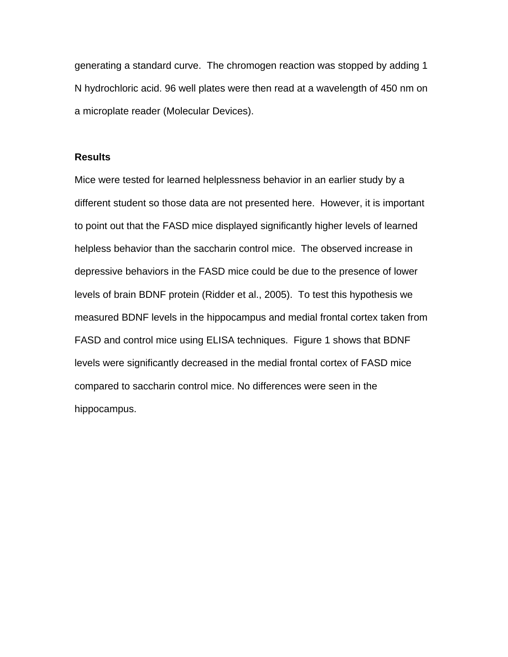generating a standard curve. The chromogen reaction was stopped by adding 1 N hydrochloric acid. 96 well plates were then read at a wavelength of 450 nm on a microplate reader (Molecular Devices).

#### **Results**

Mice were tested for learned helplessness behavior in an earlier study by a different student so those data are not presented here. However, it is important to point out that the FASD mice displayed significantly higher levels of learned helpless behavior than the saccharin control mice. The observed increase in depressive behaviors in the FASD mice could be due to the presence of lower levels of brain BDNF protein (Ridder et al., 2005). To test this hypothesis we measured BDNF levels in the hippocampus and medial frontal cortex taken from FASD and control mice using ELISA techniques. Figure 1 shows that BDNF levels were significantly decreased in the medial frontal cortex of FASD mice compared to saccharin control mice. No differences were seen in the hippocampus.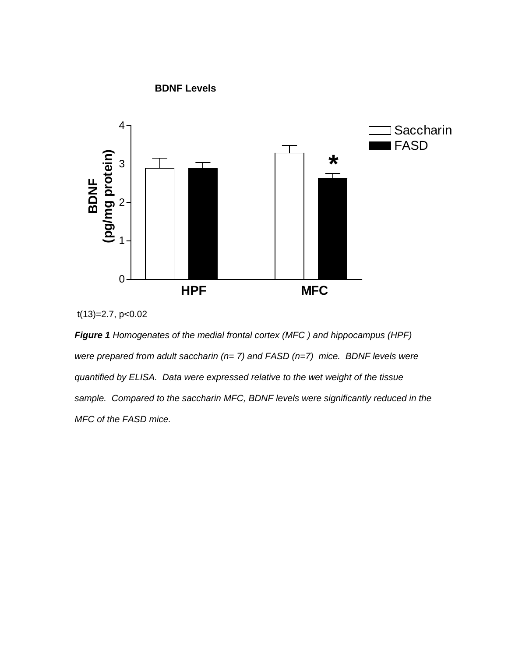

**BDNF Levels** 



*Figure 1 Homogenates of the medial frontal cortex (MFC ) and hippocampus (HPF) were prepared from adult saccharin (n= 7) and FASD (n=7) mice. BDNF levels were quantified by ELISA. Data were expressed relative to the wet weight of the tissue sample. Compared to the saccharin MFC, BDNF levels were significantly reduced in the MFC of the FASD mice.*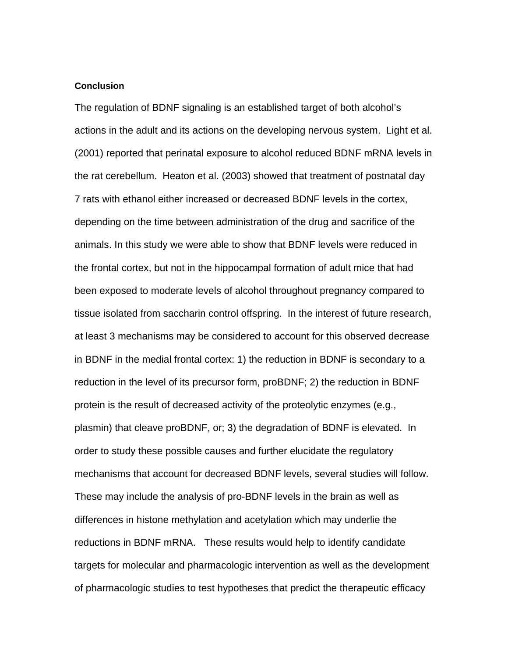#### **Conclusion**

The regulation of BDNF signaling is an established target of both alcohol's actions in the adult and its actions on the developing nervous system. Light et al. (2001) reported that perinatal exposure to alcohol reduced BDNF mRNA levels in the rat cerebellum. Heaton et al. (2003) showed that treatment of postnatal day 7 rats with ethanol either increased or decreased BDNF levels in the cortex, depending on the time between administration of the drug and sacrifice of the animals. In this study we were able to show that BDNF levels were reduced in the frontal cortex, but not in the hippocampal formation of adult mice that had been exposed to moderate levels of alcohol throughout pregnancy compared to tissue isolated from saccharin control offspring. In the interest of future research, at least 3 mechanisms may be considered to account for this observed decrease in BDNF in the medial frontal cortex: 1) the reduction in BDNF is secondary to a reduction in the level of its precursor form, proBDNF; 2) the reduction in BDNF protein is the result of decreased activity of the proteolytic enzymes (e.g., plasmin) that cleave proBDNF, or; 3) the degradation of BDNF is elevated. In order to study these possible causes and further elucidate the regulatory mechanisms that account for decreased BDNF levels, several studies will follow. These may include the analysis of pro-BDNF levels in the brain as well as differences in histone methylation and acetylation which may underlie the reductions in BDNF mRNA. These results would help to identify candidate targets for molecular and pharmacologic intervention as well as the development of pharmacologic studies to test hypotheses that predict the therapeutic efficacy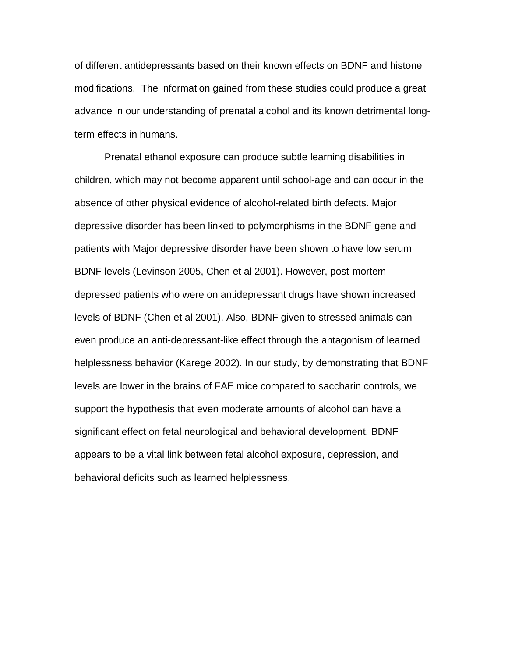of different antidepressants based on their known effects on BDNF and histone modifications. The information gained from these studies could produce a great advance in our understanding of prenatal alcohol and its known detrimental longterm effects in humans.

 Prenatal ethanol exposure can produce subtle learning disabilities in children, which may not become apparent until school-age and can occur in the absence of other physical evidence of alcohol-related birth defects. Major depressive disorder has been linked to polymorphisms in the BDNF gene and patients with Major depressive disorder have been shown to have low serum BDNF levels (Levinson 2005, Chen et al 2001). However, post-mortem depressed patients who were on antidepressant drugs have shown increased levels of BDNF (Chen et al 2001). Also, BDNF given to stressed animals can even produce an anti-depressant-like effect through the antagonism of learned helplessness behavior (Karege 2002). In our study, by demonstrating that BDNF levels are lower in the brains of FAE mice compared to saccharin controls, we support the hypothesis that even moderate amounts of alcohol can have a significant effect on fetal neurological and behavioral development. BDNF appears to be a vital link between fetal alcohol exposure, depression, and behavioral deficits such as learned helplessness.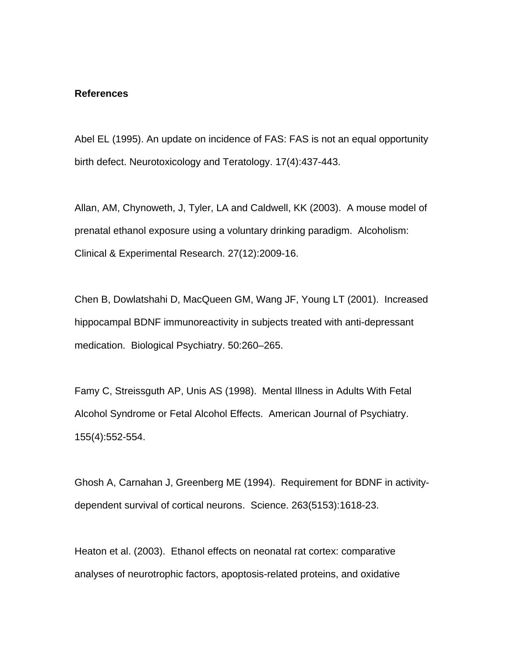#### **References**

Abel EL (1995). An update on incidence of FAS: FAS is not an equal opportunity birth defect. Neurotoxicology and Teratology. 17(4):437-443.

Allan, AM, Chynoweth, J, Tyler, LA and Caldwell, KK (2003). A mouse model of prenatal ethanol exposure using a voluntary drinking paradigm. Alcoholism: Clinical & Experimental Research. 27(12):2009-16.

Chen B, Dowlatshahi D, MacQueen GM, Wang JF, Young LT (2001). Increased hippocampal BDNF immunoreactivity in subjects treated with anti-depressant medication. Biological Psychiatry. 50:260–265.

Famy C, Streissguth AP, Unis AS (1998). Mental Illness in Adults With Fetal Alcohol Syndrome or Fetal Alcohol Effects. American Journal of Psychiatry. 155(4):552-554.

Ghosh A, Carnahan J, Greenberg ME (1994). Requirement for BDNF in activitydependent survival of cortical neurons. Science. 263(5153):1618-23.

Heaton et al. (2003). Ethanol effects on neonatal rat cortex: comparative analyses of neurotrophic factors, apoptosis-related proteins, and oxidative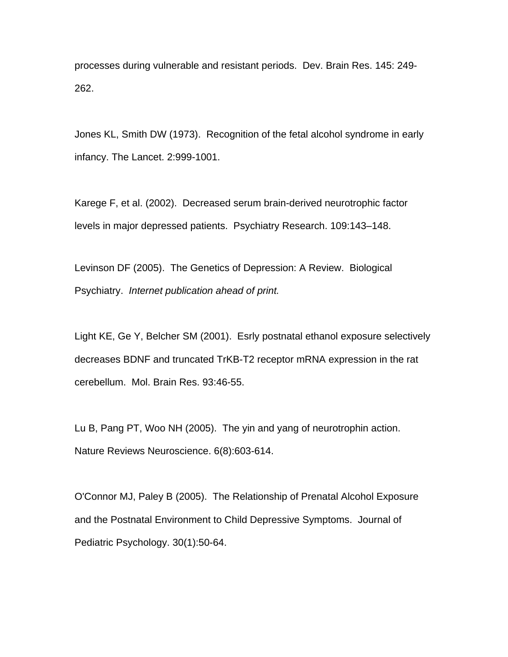processes during vulnerable and resistant periods. Dev. Brain Res. 145: 249- 262.

Jones KL, Smith DW (1973). Recognition of the fetal alcohol syndrome in early infancy. The Lancet. 2:999-1001.

Karege F, et al. (2002). Decreased serum brain-derived neurotrophic factor levels in major depressed patients. Psychiatry Research. 109:143–148.

Levinson DF (2005). The Genetics of Depression: A Review. Biological Psychiatry. *Internet publication ahead of print.* 

Light KE, Ge Y, Belcher SM (2001). Esrly postnatal ethanol exposure selectively decreases BDNF and truncated TrKB-T2 receptor mRNA expression in the rat cerebellum. Mol. Brain Res. 93:46-55.

Lu B, Pang PT, Woo NH (2005). The yin and yang of neurotrophin action. Nature Reviews Neuroscience. 6(8):603-614.

[O'Connor MJ, Paley B \(2005\).](http://www.ncbi.nlm.nih.gov.libproxy.unm.edu/entrez/query.fcgi?cmd=Retrieve&db=pubmed&dopt=Abstract&list_uids=15802607&query_hl=1) The Relationship of Prenatal Alcohol Exposure and the Postnatal Environment to Child Depressive Symptoms. Journal of Pediatric Psychology. 30(1):50-64.